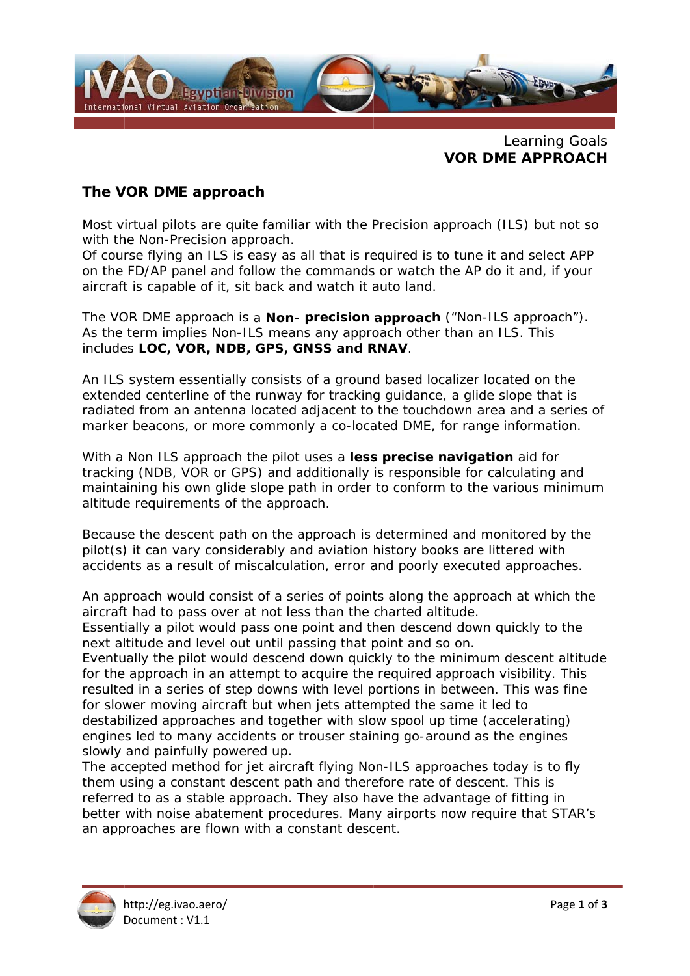

Learning Goals **VOR DME APPROACH** 

## The VOR DME approach

Most virtual pilots are quite familiar with the Precision approach (ILS) but not so with the Non-Precision approach.

Of course flying an ILS is easy as all that is required is to tune it and select APP on the FD/AP panel and follow the commands or watch the AP do it and, if your aircraft is capable of it, sit back and watch it auto land.

The VOR DME approach is a **Non- precision approach** ("Non-ILS approach"). As the term implies Non-ILS means any approach other than an ILS. This includes LOC, VOR, NDB, GPS, GNSS and RNAV.

An ILS system essentially consists of a ground based localizer located on the extended centerline of the runway for tracking quidance, a glide slope that is radiated from an antenna located adjacent to the touchdown area and a series of marker beacons, or more commonly a co-located DME, for range information.

With a Non ILS approach the pilot uses a less precise navigation aid for tracking (NDB, VOR or GPS) and additionally is responsible for calculating and maintaining his own glide slope path in order to conform to the various minimum altitude requirements of the approach.

Because the descent path on the approach is determined and monitored by the pilot(s) it can vary considerably and aviation history books are littered with accidents as a result of miscalculation, error and poorly executed approaches.

An approach would consist of a series of points along the approach at which the aircraft had to pass over at not less than the charted altitude. Essentially a pilot would pass one point and then descend down quickly to the

next altitude and level out until passing that point and so on.

Eventually the pilot would descend down quickly to the minimum descent altitude for the approach in an attempt to acquire the required approach visibility. This resulted in a series of step downs with level portions in between. This was fine for slower moving aircraft but when jets attempted the same it led to destabilized approaches and together with slow spool up time (accelerating) engines led to many accidents or trouser staining go-around as the engines slowly and painfully powered up.

The accepted method for jet aircraft flying Non-ILS approaches today is to fly them using a constant descent path and therefore rate of descent. This is referred to as a stable approach. They also have the advantage of fitting in better with noise abatement procedures. Many airports now require that STAR's an approaches are flown with a constant descent.

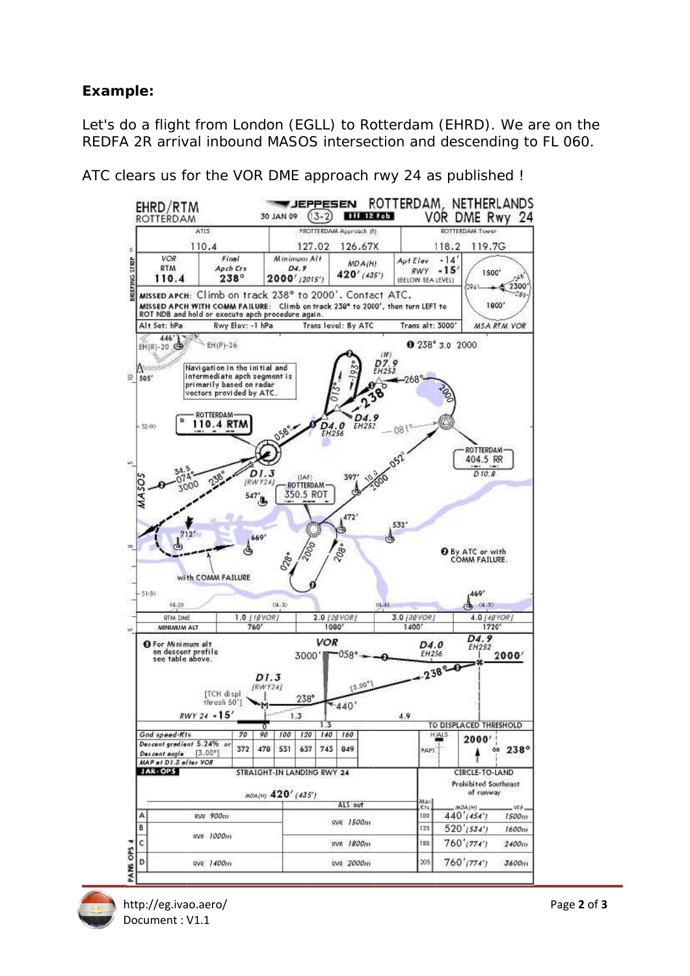## Example:

Let's do a flight from London (EGLL) to Rotterdam (EHRD). We are on the REDFA 2R arrival inbound MASOS intersection and descending to FL 060.

JEPPESEN ROTTERDAM, NETHERLANDS EHRD/RTM  $(13-2)$ **TURBERS** ROTTERDAM 30 JAN 09 VOR DME Rwy 24 ROTTERDAM Approach (R) ROTTERDAM Tower ATI<sup>4</sup> 126.67X 110.4 127.02 118.2 119.7G  $VOR$  $Flant$ Minimum Alt Apt Elev  $-14'$ **CTRIP** MD A(H) **RTM** Auch Crs  $D4.9$  $RWY - 15$  $420'$  (435') 1500  $238^\circ$ 2000' (2015') 110.4 (BELOW SEA LEVEL)  $4 2300$ MISSED APCH: Climb on track 238° to 2000'. Contact ATC. MISSED APCH WITH COMM FAILURE: Climb on track 238° to 2000', then turn LEFT to ROT NDB and hold or execute apch procedure again. 1800\* Alt Set: hPa Rwy Elev: -1 hPa Trans level: By ATC Trans alt: 3000' **MSA RTM VOR**  $446'$  $EH(P)-26$ **0** 238° 3.0 2000  $R_{1253}^{7.9}$ Navigation in the initial and  $\frac{1}{2}$  sos ntermediate apch segment is nec primarily based on rad vectors provided by ATC. **ROTTERDAM S**  $\overline{\bullet}$ 110.4 RTM **D<sub>4</sub>.0** \$2.00  $-081$ ROTTERDAM-404.5 RR  $DI.3$  $D10.8$ (TAF) 397 voo **IRWY2** ROTTERDAM 350.5 ROT  $547$ j.  $472'$ 532 5  $712$ 669'  $\mathcal{C}$  $20g$ . d O By ATC or with<br>COMM FAILURE.  $O_{28*}$ with COMM FAILURE 460  $(9.17,$ Á.  $04.39$  $04 - 20$  $04.3$ **RTM DAIE** 1.0 [10VOR]  $2.0$  [20 VOR] 3.0 [30 VOR]  $4.0$  [40 YOR] **MINIMUM ALT**  $760'$  $1080'$ 14001  $1720'$  $D4.9$ **O** For Minimum alt<br>on descent profile<br>see table above. **VOR**  $DA$ <sub>0</sub> **EH252** EH256  $058^\circ$ 2000 3000'l  $238°-0$  $DI.3$  $13.00^{4}$  $IRWY24$ **ITCH** displ  $238^\circ$ thresh 50'  $*440'$  $RWY 24 - 15'$  $1.3$  $4.9$ TO DISPLACED THRESHOLD Gnd speed-Kis 90  $\sqrt{70}$  $100$   $120$  $140$ 160 HIAL<sup>®</sup>  $2000'$ Descent gradient 5.24% or 372 478 531 637 743 849  $238°$ BART **on**  $[3.00^{\circ}]$ Descent augle MAP at D1.3 after VOR **JAR-OPS** STRAIGHT-IN LANDING RWY 24 CIRCLE-TO-LAND **Prohibited Southeast** of runway мол(н) 420' (435') Wa ALS out MOA<sub>(H)</sub>  $K1s$ ws. Δ  $RVR$  900 $m$  $\frac{1}{100}$  $440'$  (454')  $1500m$ RVR 1500m E  $520'$ (534') 155  $1600m$ **RVR** 1000m  $\overline{c}$ i BO  $760'$ (774') RVR 1800m  $2400m$ PANS OPS D 205  $760'$ (774') 3600m **PVR** 1400m **PVR** 2000m

ATC clears us for the VOR DME approach rwy 24 as published !